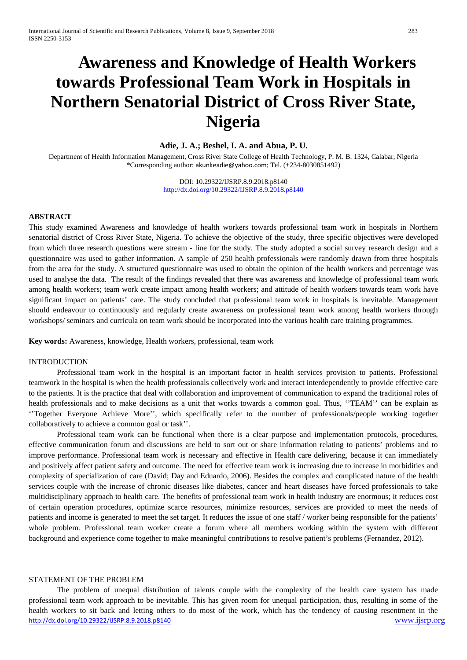# **Awareness and Knowledge of Health Workers towards Professional Team Work in Hospitals in Northern Senatorial District of Cross River State, Nigeria**

## **Adie, J. A.; Beshel, I. A. and Abua, P. U.**

Department of Health Information Management, Cross River State College of Health Technology, P. M. B. 1324, Calabar, Nigeria \*Corresponding author: [akunkeadie@yahoo.com](mailto:akunkeadie@yahoo.com); Tel. (+234-8030851492)

> DOI: 10.29322/IJSRP.8.9.2018.p8140 <http://dx.doi.org/10.29322/IJSRP.8.9.2018.p8140>

### **ABSTRACT**

This study examined Awareness and knowledge of health workers towards professional team work in hospitals in Northern senatorial district of Cross River State, Nigeria. To achieve the objective of the study, three specific objectives were developed from which three research questions were stream - line for the study. The study adopted a social survey research design and a questionnaire was used to gather information. A sample of 250 health professionals were randomly drawn from three hospitals from the area for the study. A structured questionnaire was used to obtain the opinion of the health workers and percentage was used to analyse the data. The result of the findings revealed that there was awareness and knowledge of professional team work among health workers; team work create impact among health workers; and attitude of health workers towards team work have significant impact on patients' care. The study concluded that professional team work in hospitals is inevitable. Management should endeavour to continuously and regularly create awareness on professional team work among health workers through workshops/ seminars and curricula on team work should be incorporated into the various health care training programmes.

**Key words:** Awareness, knowledge, Health workers, professional, team work

#### INTRODUCTION

Professional team work in the hospital is an important factor in health services provision to patients. Professional teamwork in the hospital is when the health professionals collectively work and interact interdependently to provide effective care to the patients. It is the practice that deal with collaboration and improvement of communication to expand the traditional roles of health professionals and to make decisions as a unit that works towards a common goal. Thus, "TEAM" can be explain as ''Together Everyone Achieve More'', which specifically refer to the number of professionals/people working together collaboratively to achieve a common goal or task''.

Professional team work can be functional when there is a clear purpose and implementation protocols, procedures, effective communication forum and discussions are held to sort out or share information relating to patients' problems and to improve performance. Professional team work is necessary and effective in Health care delivering, because it can immediately and positively affect patient safety and outcome. The need for effective team work is increasing due to increase in morbidities and complexity of specialization of care (David; Day and Eduardo, 2006). Besides the complex and complicated nature of the health services couple with the increase of chronic diseases like diabetes, cancer and heart diseases have forced professionals to take multidisciplinary approach to health care. The benefits of professional team work in health industry are enormous; it reduces cost of certain operation procedures, optimize scarce resources, minimize resources, services are provided to meet the needs of patients and income is generated to meet the set target. It reduces the issue of one staff / worker being responsible for the patients' whole problem. Professional team worker create a forum where all members working within the system with different background and experience come together to make meaningful contributions to resolve patient's problems (Fernandez, 2012).

## STATEMENT OF THE PROBLEM

<http://dx.doi.org/10.29322/IJSRP.8.9.2018.p8140> [www.ijsrp.org](http://ijsrp.org/) The problem of unequal distribution of talents couple with the complexity of the health care system has made professional team work approach to be inevitable. This has given room for unequal participation, thus, resulting in some of the health workers to sit back and letting others to do most of the work, which has the tendency of causing resentment in the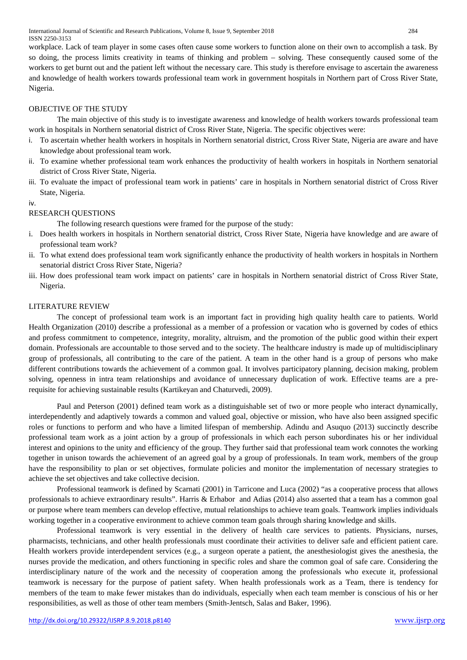workplace. Lack of team player in some cases often cause some workers to function alone on their own to accomplish a task. By so doing, the process limits creativity in teams of thinking and problem – solving. These consequently caused some of the workers to get burnt out and the patient left without the necessary care. This study is therefore envisage to ascertain the awareness and knowledge of health workers towards professional team work in government hospitals in Northern part of Cross River State, Nigeria.

# OBJECTIVE OF THE STUDY

The main objective of this study is to investigate awareness and knowledge of health workers towards professional team work in hospitals in Northern senatorial district of Cross River State, Nigeria. The specific objectives were:

- i. To ascertain whether health workers in hospitals in Northern senatorial district, Cross River State, Nigeria are aware and have knowledge about professional team work.
- ii. To examine whether professional team work enhances the productivity of health workers in hospitals in Northern senatorial district of Cross River State, Nigeria.
- iii. To evaluate the impact of professional team work in patients' care in hospitals in Northern senatorial district of Cross River State, Nigeria.

iv.

# RESEARCH QUESTIONS

The following research questions were framed for the purpose of the study:

- i. Does health workers in hospitals in Northern senatorial district, Cross River State, Nigeria have knowledge and are aware of professional team work?
- ii. To what extend does professional team work significantly enhance the productivity of health workers in hospitals in Northern senatorial district Cross River State, Nigeria?
- iii. How does professional team work impact on patients' care in hospitals in Northern senatorial district of Cross River State, Nigeria.

## LITERATURE REVIEW

The concept of professional team work is an important fact in providing high quality health care to patients. World Health Organization (2010) describe a professional as a member of a profession or vacation who is governed by codes of ethics and profess commitment to competence, integrity, morality, altruism, and the promotion of the public good within their expert domain. Professionals are accountable to those served and to the society. The healthcare industry is made up of multidisciplinary group of professionals, all contributing to the care of the patient. A team in the other hand is a group of persons who make different contributions towards the achievement of a common goal. It involves participatory planning, decision making, problem solving, openness in intra team relationships and avoidance of unnecessary duplication of work. Effective teams are a prerequisite for achieving sustainable results (Kartikeyan and Chaturvedi, 2009).

Paul and Peterson (2001) defined team work as a distinguishable set of two or more people who interact dynamically, interdependently and adaptively towards a common and valued goal, objective or mission, who have also been assigned specific roles or functions to perform and who have a limited lifespan of membership. Adindu and Asuquo (2013) succinctly describe professional team work as a joint action by a group of professionals in which each person subordinates his or her individual interest and opinions to the unity and efficiency of the group. They further said that professional team work connotes the working together in unison towards the achievement of an agreed goal by a group of professionals. In team work, members of the group have the responsibility to plan or set objectives, formulate policies and monitor the implementation of necessary strategies to achieve the set objectives and take collective decision.

Professional teamwork is defined by Scarnati (2001) in Tarricone and Luca (2002) "as a cooperative process that allows professionals to achieve extraordinary results". Harris & Erhabor and Adias (2014) also asserted that a team has a common goal or purpose where team members can develop effective, mutual relationships to achieve team goals. Teamwork implies individuals working together in a cooperative environment to achieve common team goals through sharing knowledge and skills.

Professional teamwork is very essential in the delivery of health care services to patients. Physicians, nurses, pharmacists, technicians, and other health professionals must coordinate their activities to deliver safe and efficient patient care. Health workers provide interdependent services (e.g., a surgeon operate a patient, the anesthesiologist gives the anesthesia, the nurses provide the medication, and others functioning in specific roles and share the common goal of safe care. Considering the interdisciplinary nature of the work and the necessity of cooperation among the professionals who execute it, professional teamwork is necessary for the purpose of patient safety. When health professionals work as a Team, there is tendency for members of the team to make fewer mistakes than do individuals, especially when each team member is conscious of his or her responsibilities, as well as those of other team members (Smith-Jentsch, Salas and Baker, 1996).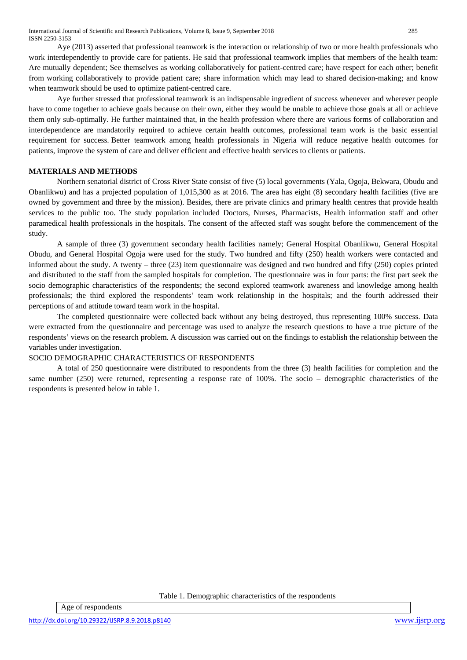Aye (2013) asserted that professional teamwork is the interaction or relationship of two or more health professionals who work interdependently to provide care for patients. He said that professional teamwork implies that members of the health team: Are mutually dependent; See themselves as working collaboratively for patient-centred care; have respect for each other; benefit from working collaboratively to provide patient care; share information which may lead to shared decision-making; and know when teamwork should be used to optimize patient-centred care.

Aye further stressed that professional teamwork is an indispensable ingredient of success whenever and wherever people have to come together to achieve goals because on their own, either they would be unable to achieve those goals at all or achieve them only sub-optimally. He further maintained that, in the health profession where there are various forms of collaboration and interdependence are mandatorily required to achieve certain health outcomes, professional team work is the basic essential requirement for success. Better teamwork among health professionals in Nigeria will reduce negative health outcomes for patients, improve the system of care and deliver efficient and effective health services to clients or patients.

# **MATERIALS AND METHODS**

Northern senatorial district of Cross River State consist of five (5) local governments (Yala, Ogoja, Bekwara, Obudu and Obanlikwu) and has a projected population of 1,015,300 as at 2016. The area has eight (8) secondary health facilities (five are owned by government and three by the mission). Besides, there are private clinics and primary health centres that provide health services to the public too. The study population included Doctors, Nurses, Pharmacists, Health information staff and other paramedical health professionals in the hospitals. The consent of the affected staff was sought before the commencement of the study.

A sample of three (3) government secondary health facilities namely; General Hospital Obanlikwu, General Hospital Obudu, and General Hospital Ogoja were used for the study. Two hundred and fifty (250) health workers were contacted and informed about the study. A twenty – three (23) item questionnaire was designed and two hundred and fifty (250) copies printed and distributed to the staff from the sampled hospitals for completion. The questionnaire was in four parts: the first part seek the socio demographic characteristics of the respondents; the second explored teamwork awareness and knowledge among health professionals; the third explored the respondents' team work relationship in the hospitals; and the fourth addressed their perceptions of and attitude toward team work in the hospital.

The completed questionnaire were collected back without any being destroyed, thus representing 100% success. Data were extracted from the questionnaire and percentage was used to analyze the research questions to have a true picture of the respondents' views on the research problem. A discussion was carried out on the findings to establish the relationship between the variables under investigation.

# SOCIO DEMOGRAPHIC CHARACTERISTICS OF RESPONDENTS

A total of 250 questionnaire were distributed to respondents from the three (3) health facilities for completion and the same number (250) were returned, representing a response rate of 100%. The socio – demographic characteristics of the respondents is presented below in table 1.

Table 1. Demographic characteristics of the respondents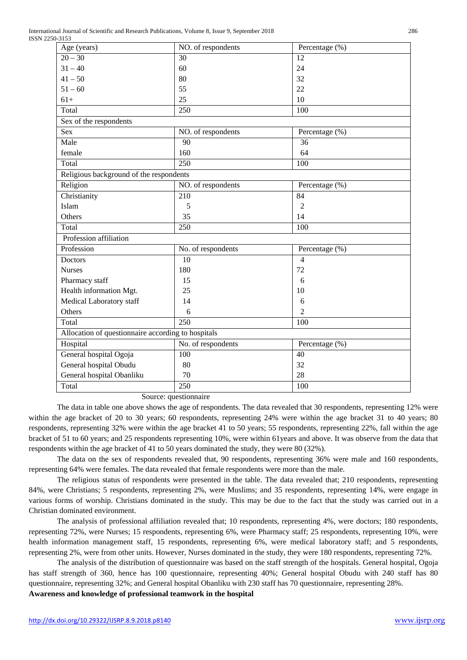| Age (years)                                        | NO. of respondents | Percentage (%) |  |  |  |  |
|----------------------------------------------------|--------------------|----------------|--|--|--|--|
| $20 - 30$                                          | 30                 | 12             |  |  |  |  |
| $31 - 40$                                          | 60                 | 24             |  |  |  |  |
| $41 - 50$                                          | 80                 | 32             |  |  |  |  |
| $51 - 60$                                          | 55                 | 22             |  |  |  |  |
| $61+$                                              | 25                 | 10             |  |  |  |  |
| Total                                              | 250                | 100            |  |  |  |  |
| Sex of the respondents                             |                    |                |  |  |  |  |
| Sex                                                | NO. of respondents | Percentage (%) |  |  |  |  |
| Male                                               | 90                 | 36             |  |  |  |  |
| female                                             | 160                | 64             |  |  |  |  |
| Total                                              | $\overline{250}$   | 100            |  |  |  |  |
| Religious background of the respondents            |                    |                |  |  |  |  |
| Religion                                           | NO. of respondents | Percentage (%) |  |  |  |  |
| Christianity                                       | 210                | 84             |  |  |  |  |
| Islam                                              | 5                  | 2              |  |  |  |  |
| Others                                             | 35                 | 14             |  |  |  |  |
| Total                                              | 250                | 100            |  |  |  |  |
| Profession affiliation                             |                    |                |  |  |  |  |
| Profession                                         | No. of respondents | Percentage (%) |  |  |  |  |
| Doctors                                            | 10                 | 4              |  |  |  |  |
| <b>Nurses</b>                                      | 180                | 72             |  |  |  |  |
| Pharmacy staff                                     | 15                 | 6              |  |  |  |  |
| Health information Mgt.                            | 25                 | 10             |  |  |  |  |
| Medical Laboratory staff                           | 14                 | 6              |  |  |  |  |
| Others                                             | 6                  | $\overline{2}$ |  |  |  |  |
| Total                                              | $\overline{250}$   | 100            |  |  |  |  |
| Allocation of questionnaire according to hospitals |                    |                |  |  |  |  |
| Hospital                                           | No. of respondents | Percentage (%) |  |  |  |  |
| General hospital Ogoja                             | 100                | 40             |  |  |  |  |
| General hospital Obudu                             | 80                 | 32             |  |  |  |  |
| General hospital Obanliku                          | 70                 | 28             |  |  |  |  |
| Total                                              | 250                | 100            |  |  |  |  |
|                                                    |                    |                |  |  |  |  |

Source: questionnaire

The data in table one above shows the age of respondents. The data revealed that 30 respondents, representing 12% were within the age bracket of 20 to 30 years; 60 respondents, representing 24% were within the age bracket 31 to 40 years; 80 respondents, representing 32% were within the age bracket 41 to 50 years; 55 respondents, representing 22%, fall within the age bracket of 51 to 60 years; and 25 respondents representing 10%, were within 61years and above. It was observe from the data that respondents within the age bracket of 41 to 50 years dominated the study, they were 80 (32%).

The data on the sex of respondents revealed that, 90 respondents, representing 36% were male and 160 respondents, representing 64% were females. The data revealed that female respondents were more than the male.

The religious status of respondents were presented in the table. The data revealed that; 210 respondents, representing 84%, were Christians; 5 respondents, representing 2%, were Muslims; and 35 respondents, representing 14%, were engage in various forms of worship. Christians dominated in the study. This may be due to the fact that the study was carried out in a Christian dominated environment.

The analysis of professional affiliation revealed that; 10 respondents, representing 4%, were doctors; 180 respondents, representing 72%, were Nurses; 15 respondents, representing 6%, were Pharmacy staff; 25 respondents, representing 10%, were health information management staff, 15 respondents, representing 6%, were medical laboratory staff; and 5 respondents, representing 2%, were from other units. However, Nurses dominated in the study, they were 180 respondents, representing 72%.

The analysis of the distribution of questionnaire was based on the staff strength of the hospitals. General hospital, Ogoja has staff strength of 360, hence has 100 questionnaire, representing 40%; General hospital Obudu with 240 staff has 80 questionnaire, representing 32%; and General hospital Obanliku with 230 staff has 70 questionnaire, representing 28%.

**Awareness and knowledge of professional teamwork in the hospital**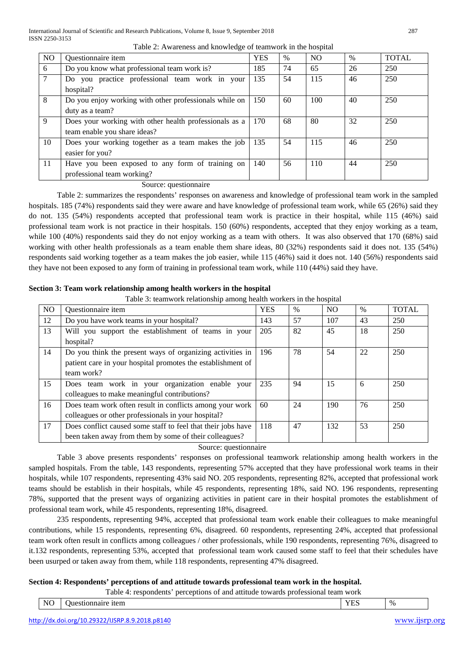|                | Table 2: Awareness and knowledge of teamwork in the hospital                           |            |      |                |      |              |  |  |
|----------------|----------------------------------------------------------------------------------------|------------|------|----------------|------|--------------|--|--|
| NO             | Questionnaire item                                                                     | <b>YES</b> | $\%$ | N <sub>O</sub> | $\%$ | <b>TOTAL</b> |  |  |
| 6              | Do you know what professional team work is?                                            | 185        | 74   | 65             | 26   | 250          |  |  |
| $\overline{7}$ | Do you practice professional team work in your<br>hospital?                            | 135        | 54   | 115            | 46   | 250          |  |  |
| 8              | Do you enjoy working with other professionals while on<br>duty as a team?              | 150        | 60   | 100            | 40   | 250          |  |  |
| $\overline{9}$ | Does your working with other health professionals as a<br>team enable you share ideas? | 170        | 68   | 80             | 32   | 250          |  |  |
| 10             | Does your working together as a team makes the job<br>easier for you?                  | 135        | 54   | 115            | 46   | 250          |  |  |
| 11             | Have you been exposed to any form of training on                                       | 140        | 56   | 110            | 44   | 250          |  |  |

Source: questionnaire

Table 2: summarizes the respondents' responses on awareness and knowledge of professional team work in the sampled hospitals. 185 (74%) respondents said they were aware and have knowledge of professional team work, while 65 (26%) said they do not. 135 (54%) respondents accepted that professional team work is practice in their hospital, while 115 (46%) said professional team work is not practice in their hospitals. 150 (60%) respondents, accepted that they enjoy working as a team, while 100 (40%) respondents said they do not enjoy working as a team with others. It was also observed that 170 (68%) said working with other health professionals as a team enable them share ideas, 80 (32%) respondents said it does not. 135 (54%) respondents said working together as a team makes the job easier, while 115 (46%) said it does not. 140 (56%) respondents said they have not been exposed to any form of training in professional team work, while 110 (44%) said they have.

## **Section 3: Team work relationship among health workers in the hospital**

professional team working?

Table 3: teamwork relationship among health workers in the hospital

| N <sub>O</sub> | Questionnaire item                                           | <b>YES</b> | $\%$ | N <sub>O</sub> | $\%$ | <b>TOTAL</b> |
|----------------|--------------------------------------------------------------|------------|------|----------------|------|--------------|
| 12             | Do you have work teams in your hospital?                     | 143        | 57   | 107            | 43   | 250          |
| 13             | Will you support the establishment of teams in your          | 205        | 82   | 45             | 18   | 250          |
|                | hospital?                                                    |            |      |                |      |              |
| 14             | Do you think the present ways of organizing activities in    | 196        | 78   | 54             | 22   | 250          |
|                | patient care in your hospital promotes the establishment of  |            |      |                |      |              |
|                | team work?                                                   |            |      |                |      |              |
| 15             | Does team work in your organization enable your              | 235        | 94   | 15             | 6    | 250          |
|                | colleagues to make meaningful contributions?                 |            |      |                |      |              |
| 16             | Does team work often result in conflicts among your work     | 60         | 24   | 190            | 76   | 250          |
|                | colleagues or other professionals in your hospital?          |            |      |                |      |              |
| 17             | Does conflict caused some staff to feel that their jobs have | 118        | 47   | 132            | 53   | 250          |
|                | been taken away from them by some of their colleagues?       |            |      |                |      |              |

## Source: questionnaire

Table 3 above presents respondents' responses on professional teamwork relationship among health workers in the sampled hospitals. From the table, 143 respondents, representing 57% accepted that they have professional work teams in their hospitals, while 107 respondents, representing 43% said NO. 205 respondents, representing 82%, accepted that professional work teams should be establish in their hospitals, while 45 respondents, representing 18%, said NO. 196 respondents, representing 78%, supported that the present ways of organizing activities in patient care in their hospital promotes the establishment of professional team work, while 45 respondents, representing 18%, disagreed.

235 respondents, representing 94%, accepted that professional team work enable their colleagues to make meaningful contributions, while 15 respondents, representing 6%, disagreed. 60 respondents, representing 24%, accepted that professional team work often result in conflicts among colleagues / other professionals, while 190 respondents, representing 76%, disagreed to it.132 respondents, representing 53%, accepted that professional team work caused some staff to feel that their schedules have been usurped or taken away from them, while 118 respondents, representing 47% disagreed.

## **Section 4: Respondents' perceptions of and attitude towards professional team work in the hospital.**

Table 4: respondents' perceptions of and attitude towards professional team work

| $\%$<br>нен.<br>+⊷<br>. .<br>-<br>. |
|-------------------------------------|
|-------------------------------------|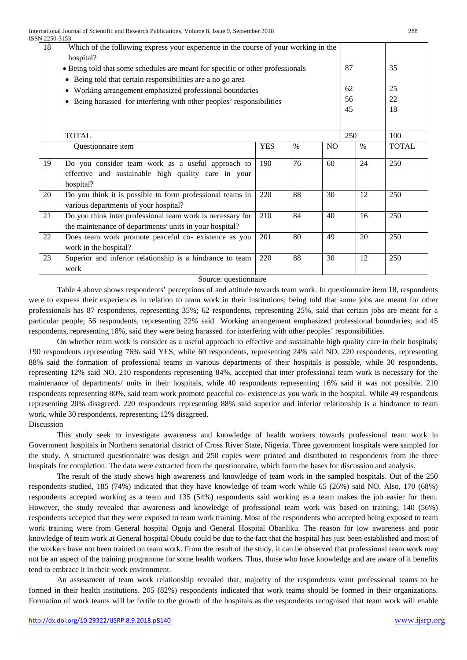| 18 | Which of the following express your experience in the course of your working in the<br>hospital?                                              |            |      |                |  |               |              |
|----|-----------------------------------------------------------------------------------------------------------------------------------------------|------------|------|----------------|--|---------------|--------------|
|    | • Being told that some schedules are meant for specific or other professionals                                                                |            |      |                |  |               | 35           |
|    | Being told that certain responsibilities are a no go area<br>$\bullet$<br>Working arrangement emphasized professional boundaries<br>$\bullet$ |            |      |                |  |               | 25           |
|    | Being harassed for interfering with other peoples' responsibilities<br>$\bullet$                                                              |            |      |                |  |               | 22           |
|    |                                                                                                                                               |            |      |                |  |               | 18           |
|    |                                                                                                                                               |            |      |                |  |               |              |
|    | <b>TOTAL</b>                                                                                                                                  |            |      |                |  | 250           | 100          |
|    | Questionnaire item                                                                                                                            | <b>YES</b> | $\%$ | N <sub>O</sub> |  | $\frac{0}{0}$ | <b>TOTAL</b> |
| 19 | Do you consider team work as a useful approach to                                                                                             | 190        | 76   | 60             |  | 24            | 250          |
|    | effective and sustainable high quality care in your<br>hospital?                                                                              |            |      |                |  |               |              |
| 20 | Do you think it is possible to form professional teams in<br>various departments of your hospital?                                            | 220        | 88   | 30             |  | 12            | 250          |
| 21 | Do you think inter professional team work is necessary for<br>the maintenance of departments/ units in your hospital?                         | 210        | 84   | 40             |  | 16            | 250          |
| 22 | Does team work promote peaceful co- existence as you<br>work in the hospital?                                                                 | 201        | 80   | 49             |  | 20            | 250          |
| 23 | Superior and inferior relationship is a hindrance to team<br>work                                                                             | 220        | 88   | 30             |  | 12            | 250          |

### Source: questionnaire

Table 4 above shows respondents' perceptions of and attitude towards team work. In questionnaire item 18, respondents were to express their experiences in relation to team work in their institutions; being told that some jobs are meant for other professionals has 87 respondents, representing 35%; 62 respondents, representing 25%, said that certain jobs are meant for a particular people; 56 respondents, representing 22% said Working arrangement emphasized professional boundaries; and 45 respondents, representing 18%, said they were being harassed for interfering with other peoples' responsibilities.

On whether team work is consider as a useful approach to effective and sustainable high quality care in their hospitals; 190 respondents representing 76% said YES, while 60 respondents, representing 24% said NO. 220 respondents, representing 88% said the formation of professional teams in various departments of their hospitals is possible, while 30 respondents, representing 12% said NO. 210 respondents representing 84%, accepted that inter professional team work is necessary for the maintenance of departments/ units in their hospitals, while 40 respondents representing 16% said it was not possible. 210 respondents representing 80%, said team work promote peaceful co- existence as you work in the hospital. While 49 respondents representing 20% disagreed. 220 respondents representing 88% said superior and inferior relationship is a hindrance to team work, while 30 respondents, representing 12% disagreed.

Discussion

This study seek to investigate awareness and knowledge of health workers towards professional team work in Government hospitals in Northern senatorial district of Cross River State, Nigeria. Three government hospitals were sampled for the study. A structured questionnaire was design and 250 copies were printed and distributed to respondents from the three hospitals for completion. The data were extracted from the questionnaire, which form the bases for discussion and analysis.

The result of the study shows high awareness and knowledge of team work in the sampled hospitals. Out of the 250 respondents studied, 185 (74%) indicated that they have knowledge of team work while 65 (26%) said NO. Also, 170 (68%) respondents accepted working as a team and 135 (54%) respondents said working as a team makes the job easier for them. However, the study revealed that awareness and knowledge of professional team work was based on training; 140 (56%) respondents accepted that they were exposed to team work training. Most of the respondents who accepted being exposed to team work training were from General hospital Ogoja and General Hospital Obanliku. The reason for low awareness and poor knowledge of team work at General hospital Obudu could be due to the fact that the hospital has just been established and most of the workers have not been trained on team work. From the result of the study, it can be observed that professional team work may not be an aspect of the training programme for some health workers. Thus, those who have knowledge and are aware of it benefits tend to embrace it in their work environment.

An assessment of team work relationship revealed that, majority of the respondents want professional teams to be formed in their health institutions. 205 (82%) respondents indicated that work teams should be formed in their organizations. Formation of work teams will be fertile to the growth of the hospitals as the respondents recognised that team work will enable